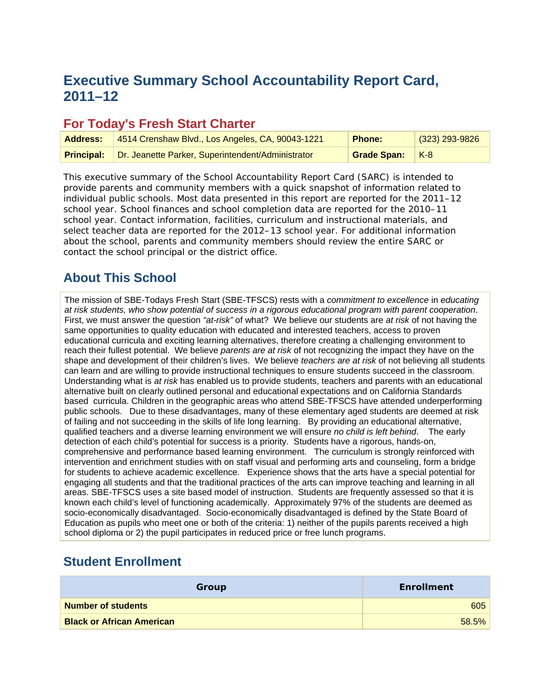# **Executive Summary School Accountability Report Card, 2011–12**

### **For Today's Fresh Start Charter**

| <b>Address:</b>   | 4514 Crenshaw Blvd., Los Angeles, CA, 90043-1221  | <b>Phone:</b>   | $(323)$ 293-9826 |
|-------------------|---------------------------------------------------|-----------------|------------------|
| <b>Principal:</b> | Dr. Jeanette Parker, Superintendent/Administrator | Grade Span: K-8 |                  |

This executive summary of the School Accountability Report Card (SARC) is intended to provide parents and community members with a quick snapshot of information related to individual public schools. Most data presented in this report are reported for the 2011–12 school year. School finances and school completion data are reported for the 2010–11 school year. Contact information, facilities, curriculum and instructional materials, and select teacher data are reported for the 2012–13 school year. For additional information about the school, parents and community members should review the entire SARC or contact the school principal or the district office.

### **About This School**

The mission of SBE-Todays Fresh Start (SBE-TFSCS) rests with a *commitment to excellence* in *educating at risk students, who show potential of success in a rigorous educational program with parent cooperation*. First, we must answer the question *"at-risk"* of what? We believe our students are *at risk* of not having the same opportunities to quality education with educated and interested teachers, access to proven educational curricula and exciting learning alternatives, therefore creating a challenging environment to reach their fullest potential. We believe *parents are at risk* of not recognizing the impact they have on the shape and development of their children's lives. We believe *teachers are at risk* of not believing all students can learn and are willing to provide instructional techniques to ensure students succeed in the classroom. Understanding what is *at risk* has enabled us to provide students, teachers and parents with an educational alternative built on clearly outlined personal and educational expectations and on California Standards based curricula. Children in the geographic areas who attend SBE-TFSCS have attended underperforming public schools. Due to these disadvantages, many of these elementary aged students are deemed at risk of failing and not succeeding in the skills of life long learning. By providing an educational alternative, qualified teachers and a diverse learning environment we will ensure *no child is left behind*. The early detection of each child's potential for success is a priority. Students have a rigorous, hands-on, comprehensive and performance based learning environment. The curriculum is strongly reinforced with intervention and enrichment studies with on staff visual and performing arts and counseling, form a bridge for students to achieve academic excellence. Experience shows that the arts have a special potential for engaging all students and that the traditional practices of the arts can improve teaching and learning in all areas. SBE-TFSCS uses a site based model of instruction. Students are frequently assessed so that it is known each child's level of functioning academically. Approximately 97% of the students are deemed as socio-economically disadvantaged. Socio-economically disadvantaged is defined by the State Board of Education as pupils who meet one or both of the criteria: 1) neither of the pupils parents received a high school diploma or 2) the pupil participates in reduced price or free lunch programs.

### **Student Enrollment**

| Group                            | <b>Enrollment</b> |
|----------------------------------|-------------------|
| <b>Number of students</b>        | 605               |
| <b>Black or African American</b> | 58.5%             |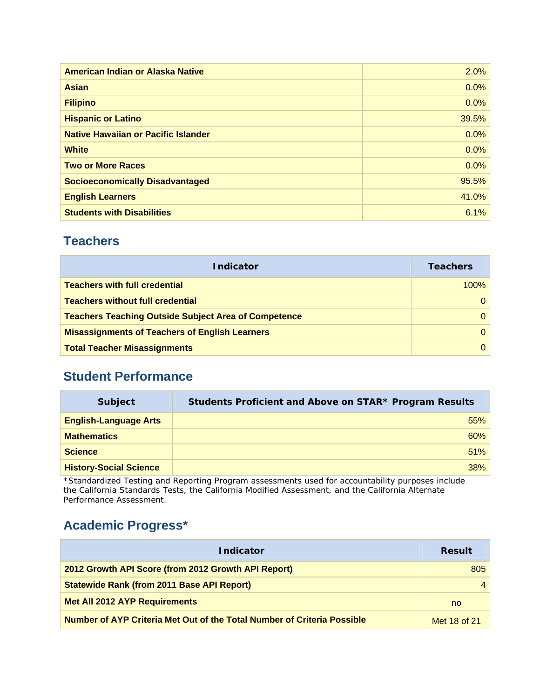| American Indian or Alaska Native           | 2.0%  |
|--------------------------------------------|-------|
| <b>Asian</b>                               | 0.0%  |
| <b>Filipino</b>                            | 0.0%  |
| <b>Hispanic or Latino</b>                  | 39.5% |
| <b>Native Hawaiian or Pacific Islander</b> | 0.0%  |
| <b>White</b>                               | 0.0%  |
| <b>Two or More Races</b>                   | 0.0%  |
| <b>Socioeconomically Disadvantaged</b>     | 95.5% |
| <b>English Learners</b>                    | 41.0% |
| <b>Students with Disabilities</b>          | 6.1%  |

### **Teachers**

| <b>Indicator</b>                                            | <b>Teachers</b> |
|-------------------------------------------------------------|-----------------|
| <b>Teachers with full credential</b>                        | 100%            |
| <b>Teachers without full credential</b>                     |                 |
| <b>Teachers Teaching Outside Subject Area of Competence</b> |                 |
| <b>Misassignments of Teachers of English Learners</b>       |                 |
| <b>Total Teacher Misassignments</b>                         |                 |

### **Student Performance**

| <b>Subject</b>                | Students Proficient and Above on STAR* Program Results |
|-------------------------------|--------------------------------------------------------|
| <b>English-Language Arts</b>  | 55%                                                    |
| <b>Mathematics</b>            | 60%                                                    |
| <b>Science</b>                | 51%                                                    |
| <b>History-Social Science</b> | 38%                                                    |
|                               |                                                        |

\*Standardized Testing and Reporting Program assessments used for accountability purposes include the California Standards Tests, the California Modified Assessment, and the California Alternate Performance Assessment.

## **Academic Progress\***

| <b>Indicator</b>                                                        | <b>Result</b> |
|-------------------------------------------------------------------------|---------------|
| 2012 Growth API Score (from 2012 Growth API Report)                     | 805           |
| <b>Statewide Rank (from 2011 Base API Report)</b>                       |               |
| <b>Met All 2012 AYP Requirements</b>                                    | no            |
| Number of AYP Criteria Met Out of the Total Number of Criteria Possible | Met 18 of 21  |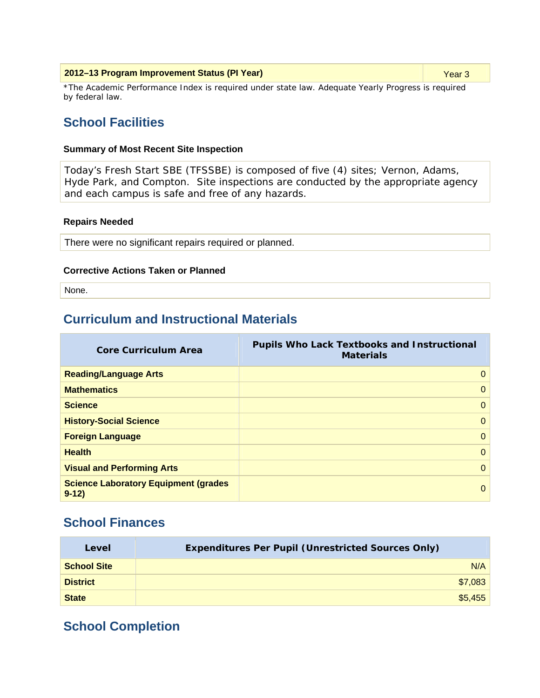| 2012-13 Program Improvement Status (PI Year) | Year 3 |
|----------------------------------------------|--------|
|----------------------------------------------|--------|

\*The Academic Performance Index is required under state law. Adequate Yearly Progress is required by federal law.

### **School Facilities**

#### **Summary of Most Recent Site Inspection**

Today's Fresh Start SBE (TFSSBE) is composed of five (4) sites; Vernon, Adams, Hyde Park, and Compton. Site inspections are conducted by the appropriate agency and each campus is safe and free of any hazards.

#### **Repairs Needed**

There were no significant repairs required or planned.

#### **Corrective Actions Taken or Planned**

None.

### **Curriculum and Instructional Materials**

| <b>Core Curriculum Area</b>                             | <b>Pupils Who Lack Textbooks and Instructional</b><br><b>Materials</b> |
|---------------------------------------------------------|------------------------------------------------------------------------|
| <b>Reading/Language Arts</b>                            | $\Omega$                                                               |
| <b>Mathematics</b>                                      | $\Omega$                                                               |
| <b>Science</b>                                          | $\mathbf{0}$                                                           |
| <b>History-Social Science</b>                           | $\mathbf{0}$                                                           |
| <b>Foreign Language</b>                                 | $\mathbf{0}$                                                           |
| <b>Health</b>                                           | $\mathbf{0}$                                                           |
| <b>Visual and Performing Arts</b>                       | $\Omega$                                                               |
| <b>Science Laboratory Equipment (grades)</b><br>$9-12)$ | $\Omega$                                                               |

### **School Finances**

| Level              | <b>Expenditures Per Pupil (Unrestricted Sources Only)</b> |         |
|--------------------|-----------------------------------------------------------|---------|
| <b>School Site</b> |                                                           | N/A     |
| <b>District</b>    |                                                           | \$7,083 |
| <b>State</b>       |                                                           | \$5,455 |

### **School Completion**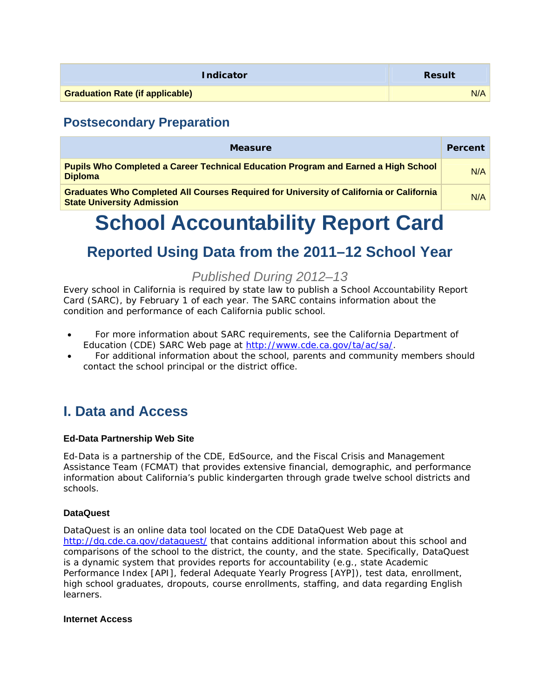| <b>Indicator</b>                       | <b>Result</b> |
|----------------------------------------|---------------|
| <b>Graduation Rate (if applicable)</b> | N/A           |

### **Postsecondary Preparation**

| <b>Measure</b>                                                                                                                      | Percent |
|-------------------------------------------------------------------------------------------------------------------------------------|---------|
| <b>Pupils Who Completed a Career Technical Education Program and Earned a High School</b><br><b>Diploma</b>                         | N/A     |
| <b>Graduates Who Completed All Courses Required for University of California or California</b><br><b>State University Admission</b> | N/A     |

# **School Accountability Report Card**

# **Reported Using Data from the 2011–12 School Year**

### *Published During 2012–13*

Every school in California is required by state law to publish a School Accountability Report Card (SARC), by February 1 of each year. The SARC contains information about the condition and performance of each California public school.

- For more information about SARC requirements, see the California Department of Education (CDE) SARC Web page at http://www.cde.ca.gov/ta/ac/sa/.
- For additional information about the school, parents and community members should contact the school principal or the district office.

# **I. Data and Access**

### **Ed-Data Partnership Web Site**

Ed-Data is a partnership of the CDE, EdSource, and the Fiscal Crisis and Management Assistance Team (FCMAT) that provides extensive financial, demographic, and performance information about California's public kindergarten through grade twelve school districts and schools.

### **DataQuest**

DataQuest is an online data tool located on the CDE DataQuest Web page at http://dg.cde.ca.gov/dataquest/ that contains additional information about this school and comparisons of the school to the district, the county, and the state. Specifically, DataQuest is a dynamic system that provides reports for accountability (e.g., state Academic Performance Index [API], federal Adequate Yearly Progress [AYP]), test data, enrollment, high school graduates, dropouts, course enrollments, staffing, and data regarding English learners.

### **Internet Access**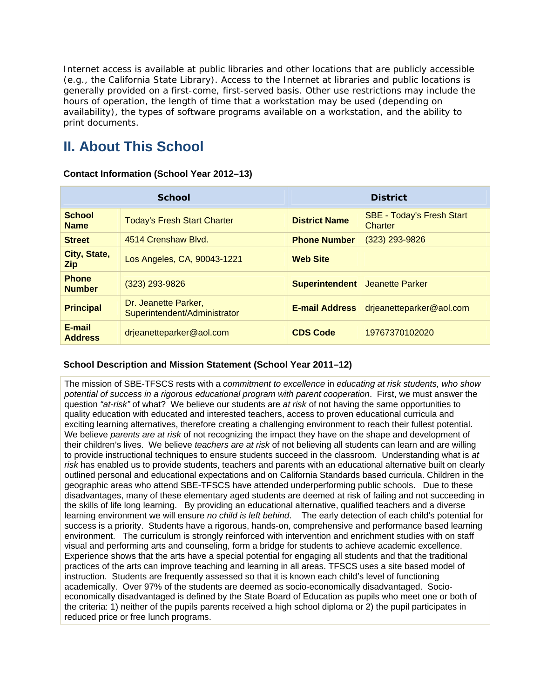Internet access is available at public libraries and other locations that are publicly accessible (e.g., the California State Library). Access to the Internet at libraries and public locations is generally provided on a first-come, first-served basis. Other use restrictions may include the hours of operation, the length of time that a workstation may be used (depending on availability), the types of software programs available on a workstation, and the ability to print documents.

# **II. About This School**

### **School** District **District School Name Today's Fresh Start Charter <b>District Name SBE - Today's Fresh Start Name Charter Street** 4514 Crenshaw Blvd. **Phone Number** (323) 293-9826 **City, State, Zip** Los Angeles, CA, 90043-1221 **Web Site Phone Number** (323) 293-9826 **Superintendent** Jeanette Parker **Principal** Dr. Jeanette Parker, Superintendent/Administrator **E-mail Address** drjeanetteparker@aol.com **E-mail Address** drjeanetteparker@aol.com **CDS Code** <sup>19767370102020</sup>

### **Contact Information (School Year 2012–13)**

### **School Description and Mission Statement (School Year 2011–12)**

The mission of SBE-TFSCS rests with a *commitment to excellence* in *educating at risk students, who show potential of success in a rigorous educational program with parent cooperation*. First, we must answer the question *"at-risk"* of what? We believe our students are *at risk* of not having the same opportunities to quality education with educated and interested teachers, access to proven educational curricula and exciting learning alternatives, therefore creating a challenging environment to reach their fullest potential. We believe *parents are at risk* of not recognizing the impact they have on the shape and development of their children's lives. We believe *teachers are at risk* of not believing all students can learn and are willing to provide instructional techniques to ensure students succeed in the classroom. Understanding what is *at risk* has enabled us to provide students, teachers and parents with an educational alternative built on clearly outlined personal and educational expectations and on California Standards based curricula. Children in the geographic areas who attend SBE-TFSCS have attended underperforming public schools. Due to these disadvantages, many of these elementary aged students are deemed at risk of failing and not succeeding in the skills of life long learning. By providing an educational alternative, qualified teachers and a diverse learning environment we will ensure *no child is left behind*. The early detection of each child's potential for success is a priority. Students have a rigorous, hands-on, comprehensive and performance based learning environment. The curriculum is strongly reinforced with intervention and enrichment studies with on staff visual and performing arts and counseling, form a bridge for students to achieve academic excellence. Experience shows that the arts have a special potential for engaging all students and that the traditional practices of the arts can improve teaching and learning in all areas. TFSCS uses a site based model of instruction. Students are frequently assessed so that it is known each child's level of functioning academically. Over 97% of the students are deemed as socio-economically disadvantaged. Socioeconomically disadvantaged is defined by the State Board of Education as pupils who meet one or both of the criteria: 1) neither of the pupils parents received a high school diploma or 2) the pupil participates in reduced price or free lunch programs.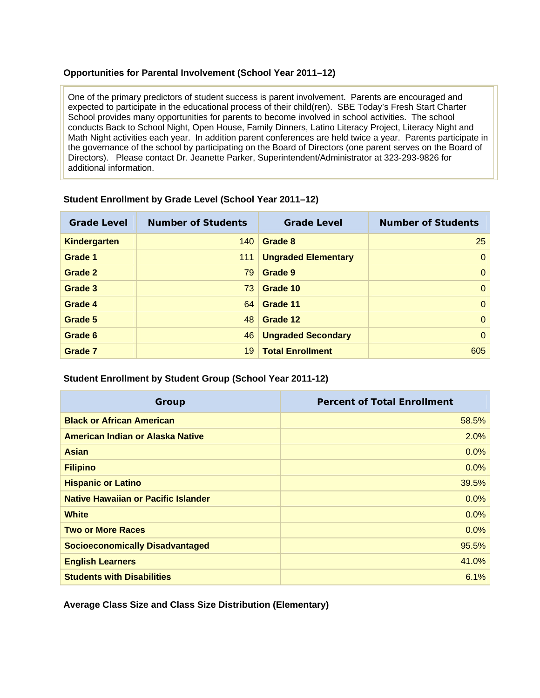### **Opportunities for Parental Involvement (School Year 2011–12)**

One of the primary predictors of student success is parent involvement. Parents are encouraged and expected to participate in the educational process of their child(ren). SBE Today's Fresh Start Charter School provides many opportunities for parents to become involved in school activities. The school conducts Back to School Night, Open House, Family Dinners, Latino Literacy Project, Literacy Night and Math Night activities each year. In addition parent conferences are held twice a year. Parents participate in the governance of the school by participating on the Board of Directors (one parent serves on the Board of Directors). Please contact Dr. Jeanette Parker, Superintendent/Administrator at 323-293-9826 for additional information.

| <b>Grade Level</b>  | <b>Number of Students</b> | <b>Grade Level</b>         | <b>Number of Students</b> |
|---------------------|---------------------------|----------------------------|---------------------------|
| <b>Kindergarten</b> | 140                       | Grade 8                    | 25                        |
| Grade 1             | 111                       | <b>Ungraded Elementary</b> | $\Omega$                  |
| Grade 2             | 79                        | Grade 9                    | $\mathbf{0}$              |
| Grade 3             | 73                        | Grade 10                   | $\mathbf{0}$              |
| Grade 4             | 64                        | Grade 11                   | $\Omega$                  |
| Grade 5             | 48                        | Grade 12                   | $\Omega$                  |
| Grade 6             | 46                        | <b>Ungraded Secondary</b>  | $\Omega$                  |
| <b>Grade 7</b>      | 19                        | <b>Total Enrollment</b>    | 605                       |

### **Student Enrollment by Grade Level (School Year 2011–12)**

### **Student Enrollment by Student Group (School Year 2011-12)**

| Group                                  | <b>Percent of Total Enrollment</b> |
|----------------------------------------|------------------------------------|
| <b>Black or African American</b>       | 58.5%                              |
| American Indian or Alaska Native       | 2.0%                               |
| <b>Asian</b>                           | 0.0%                               |
| <b>Filipino</b>                        | 0.0%                               |
| <b>Hispanic or Latino</b>              | 39.5%                              |
| Native Hawaiian or Pacific Islander    | 0.0%                               |
| <b>White</b>                           | 0.0%                               |
| <b>Two or More Races</b>               | 0.0%                               |
| <b>Socioeconomically Disadvantaged</b> | 95.5%                              |
| <b>English Learners</b>                | 41.0%                              |
| <b>Students with Disabilities</b>      | 6.1%                               |

**Average Class Size and Class Size Distribution (Elementary)**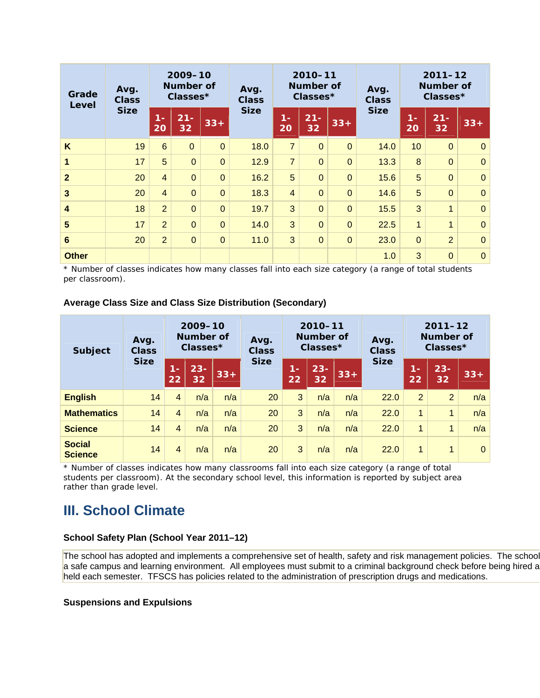| Avg.<br>Grade<br><b>Class</b><br>Level |             | 2009-10<br>Number of<br>Classes* |                | 2010-11<br>Number of<br>Avg.<br>Classes*<br><b>Class</b> |             |                | Avg.<br><b>Class</b> | $2011 - 12$<br><b>Number of</b><br>Classes* |             |              |                |              |
|----------------------------------------|-------------|----------------------------------|----------------|----------------------------------------------------------|-------------|----------------|----------------------|---------------------------------------------|-------------|--------------|----------------|--------------|
|                                        | <b>Size</b> | $1 -$<br>20                      | $21 -$<br>32   | $33+$                                                    | <b>Size</b> | $1 -$<br>20    | $21 -$<br>32         | $33+$                                       | <b>Size</b> | $1 -$<br>20  | $21 -$<br>32   | $33+$        |
| K                                      | 19          | $6\phantom{1}$                   | $\Omega$       | $\overline{0}$                                           | 18.0        | $\overline{7}$ | $\overline{0}$       | $\overline{0}$                              | 14.0        | 10           | $\mathbf{0}$   | $\mathbf 0$  |
| 1                                      | 17          | 5                                | $\overline{0}$ | $\overline{0}$                                           | 12.9        | $\overline{7}$ | $\overline{0}$       | $\overline{0}$                              | 13.3        | 8            | $\mathbf{0}$   | $\mathbf 0$  |
| $\overline{2}$                         | 20          | $\overline{4}$                   | $\overline{0}$ | $\overline{0}$                                           | 16.2        | 5              | $\overline{0}$       | $\overline{0}$                              | 15.6        | 5            | $\overline{0}$ | $\mathbf 0$  |
| $\overline{\mathbf{3}}$                | 20          | $\overline{4}$                   | $\overline{0}$ | $\overline{0}$                                           | 18.3        | $\overline{4}$ | $\overline{0}$       | $\overline{0}$                              | 14.6        | 5            | $\overline{0}$ | $\mathbf 0$  |
| $\boldsymbol{4}$                       | 18          | $\overline{2}$                   | $\overline{0}$ | $\overline{0}$                                           | 19.7        | 3              | $\overline{0}$       | $\overline{0}$                              | 15.5        | 3            | 1              | $\mathbf 0$  |
| 5                                      | 17          | $\overline{2}$                   | $\overline{0}$ | $\overline{0}$                                           | 14.0        | 3              | $\overline{0}$       | $\overline{0}$                              | 22.5        | $\mathbf{1}$ | $\mathbf{1}$   | $\mathbf 0$  |
| $6\phantom{1}6$                        | 20          | $\overline{2}$                   | $\overline{0}$ | $\mathbf{0}$                                             | 11.0        | 3              | $\overline{0}$       | $\overline{0}$                              | 23.0        | $\mathbf 0$  | 2 <sup>1</sup> | $\mathbf{0}$ |
| <b>Other</b>                           |             |                                  |                |                                                          |             |                |                      |                                             | 1.0         | 3            | $\overline{0}$ | $\pmb{0}$    |

\* Number of classes indicates how many classes fall into each size category (a range of total students per classroom).

### **Average Class Size and Class Size Distribution (Secondary)**

| <b>Subject</b>                  | Avg.<br><b>Class</b> | 2009-10<br>Number of<br>$Classes*$ |              | Avg.<br><b>Class</b> | 2010-11<br>Number of<br>$Classes*$ |             |              | Avg.<br><b>Class</b> | $2011 - 12$<br><b>Number of</b><br>Classes* |                      |                |          |
|---------------------------------|----------------------|------------------------------------|--------------|----------------------|------------------------------------|-------------|--------------|----------------------|---------------------------------------------|----------------------|----------------|----------|
|                                 | <b>Size</b>          | TE<br>22                           | $23 -$<br>32 | $33+$                | <b>Size</b>                        | $1 -$<br>22 | $23 -$<br>32 | $33+$                | <b>Size</b>                                 | $1 -$<br>22          | $23 -$<br>32   | $33+$    |
| <b>English</b>                  | 14                   | $\overline{4}$                     | n/a          | n/a                  | 20                                 | 3           | n/a          | n/a                  | 22.0                                        | 2                    | $\overline{2}$ | n/a      |
| <b>Mathematics</b>              | 14                   | $\overline{4}$                     | n/a          | n/a                  | 20                                 | 3           | n/a          | n/a                  | 22.0                                        | 1                    | 1              | n/a      |
| <b>Science</b>                  | 14                   | $\overline{4}$                     | n/a          | n/a                  | 20                                 | 3           | n/a          | n/a                  | 22.0                                        | $\overline{1}$       | 1              | n/a      |
| <b>Social</b><br><b>Science</b> | 14                   | 4                                  | n/a          | n/a                  | 20                                 | 3           | n/a          | n/a                  | 22.0                                        | $\blacktriangleleft$ | 1              | $\Omega$ |

\* Number of classes indicates how many classrooms fall into each size category (a range of total students per classroom). At the secondary school level, this information is reported by subject area rather than grade level.

### **III. School Climate**

### **School Safety Plan (School Year 2011–12)**

The school has adopted and implements a comprehensive set of health, safety and risk management policies. The school a safe campus and learning environment. All employees must submit to a criminal background check before being hired a held each semester. TFSCS has policies related to the administration of prescription drugs and medications.

### **Suspensions and Expulsions**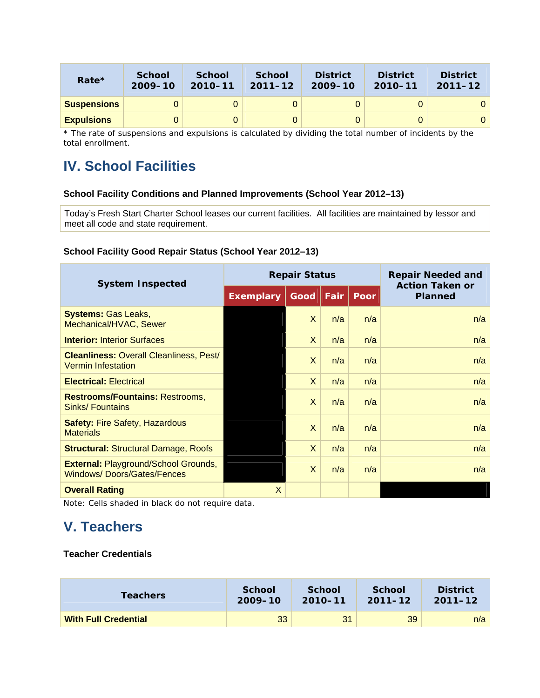| Rate $*$           | <b>School</b><br>$2009 - 10$ | <b>School</b><br>$2010 - 11$ | <b>School</b><br>$2011 - 12$ | <b>District</b><br>$2009 - 10$ | <b>District</b><br>$2010 - 11$ | <b>District</b><br>$2011 - 12$ |
|--------------------|------------------------------|------------------------------|------------------------------|--------------------------------|--------------------------------|--------------------------------|
| <b>Suspensions</b> | 0                            |                              |                              |                                |                                |                                |
| <b>Expulsions</b>  | 0                            |                              |                              |                                |                                | 0                              |

\* The rate of suspensions and expulsions is calculated by dividing the total number of incidents by the total enrollment.

# **IV. School Facilities**

### **School Facility Conditions and Planned Improvements (School Year 2012–13)**

Today's Fresh Start Charter School leases our current facilities. All facilities are maintained by lessor and meet all code and state requirement.

### **School Facility Good Repair Status (School Year 2012–13)**

| <b>System Inspected</b>                                                          |                  | <b>Repair Status</b> | <b>Repair Needed and</b> |             |                                          |
|----------------------------------------------------------------------------------|------------------|----------------------|--------------------------|-------------|------------------------------------------|
|                                                                                  | <b>Exemplary</b> | Good                 | Fair                     | <b>Poor</b> | <b>Action Taken or</b><br><b>Planned</b> |
| <b>Systems: Gas Leaks,</b><br>Mechanical/HVAC, Sewer                             |                  | X                    | n/a                      | n/a         | n/a                                      |
| <b>Interior: Interior Surfaces</b>                                               |                  | X                    | n/a                      | n/a         | n/a                                      |
| <b>Cleanliness: Overall Cleanliness, Pest/</b><br><b>Vermin Infestation</b>      |                  | X                    | n/a                      | n/a         | n/a                                      |
| <b>Electrical: Electrical</b>                                                    |                  | X                    | n/a                      | n/a         | n/a                                      |
| <b>Restrooms/Fountains: Restrooms,</b><br>Sinks/Fountains                        |                  | X                    | n/a                      | n/a         | n/a                                      |
| <b>Safety: Fire Safety, Hazardous</b><br><b>Materials</b>                        |                  | $\times$             | n/a                      | n/a         | n/a                                      |
| <b>Structural: Structural Damage, Roofs</b>                                      |                  | X                    | n/a                      | n/a         | n/a                                      |
| <b>External: Playground/School Grounds,</b><br><b>Windows/Doors/Gates/Fences</b> |                  | X                    | n/a                      | n/a         | n/a                                      |
| <b>Overall Rating</b>                                                            | X                |                      |                          |             |                                          |

Note: Cells shaded in black do not require data.

# **V. Teachers**

### **Teacher Credentials**

| <b>Teachers</b>             | <b>School</b> | <b>School</b> | <b>School</b> | <b>District</b> |
|-----------------------------|---------------|---------------|---------------|-----------------|
|                             | 2009-10       | 2010-11       | $2011 - 12$   | $2011 - 12$     |
| <b>With Full Credential</b> | 33            | 31            | 39            | n/a             |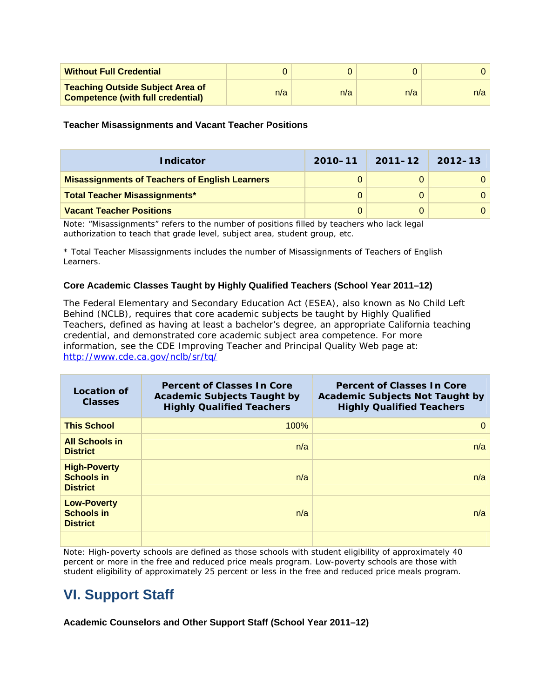| <b>Without Full Credential</b>                                                      |     |     |     |     |
|-------------------------------------------------------------------------------------|-----|-----|-----|-----|
| <b>Teaching Outside Subject Area of</b><br><b>Competence (with full credential)</b> | n/a | n/a | n/a | n/a |

**Teacher Misassignments and Vacant Teacher Positions** 

| <b>Indicator</b>                                      | $2010 - 11$ | $2011 - 12$ | 2012–13 |
|-------------------------------------------------------|-------------|-------------|---------|
| <b>Misassignments of Teachers of English Learners</b> | 0           |             |         |
| <b>Total Teacher Misassignments*</b>                  | $\Omega$    |             |         |
| <b>Vacant Teacher Positions</b>                       | 0           |             |         |

Note: "Misassignments" refers to the number of positions filled by teachers who lack legal authorization to teach that grade level, subject area, student group, etc.

\* *Total Teacher Misassignments* includes the number of *Misassignments of Teachers of English Learners*.

### **Core Academic Classes Taught by Highly Qualified Teachers (School Year 2011–12)**

The Federal Elementary and Secondary Education Act (ESEA), also known as No Child Left Behind (NCLB), requires that core academic subjects be taught by Highly Qualified Teachers, defined as having at least a bachelor's degree, an appropriate California teaching credential, and demonstrated core academic subject area competence. For more information, see the CDE *Improving Teacher and Principal Quality* Web page at: http://www.cde.ca.gov/nclb/sr/tq/

| <b>Location of</b><br><b>Classes</b>                        | <b>Percent of Classes In Core</b><br><b>Academic Subjects Taught by</b><br><b>Highly Qualified Teachers</b> | <b>Percent of Classes In Core</b><br><b>Academic Subjects Not Taught by</b><br><b>Highly Qualified Teachers</b> |
|-------------------------------------------------------------|-------------------------------------------------------------------------------------------------------------|-----------------------------------------------------------------------------------------------------------------|
| <b>This School</b>                                          | 100%                                                                                                        | $\Omega$                                                                                                        |
| <b>All Schools in</b><br><b>District</b>                    | n/a                                                                                                         | n/a                                                                                                             |
| <b>High-Poverty</b><br><b>Schools in</b><br><b>District</b> | n/a                                                                                                         | n/a                                                                                                             |
| <b>Low-Poverty</b><br><b>Schools in</b><br><b>District</b>  | n/a                                                                                                         | n/a                                                                                                             |
|                                                             |                                                                                                             |                                                                                                                 |

Note: High-poverty schools are defined as those schools with student eligibility of approximately 40 percent or more in the free and reduced price meals program. Low-poverty schools are those with student eligibility of approximately 25 percent or less in the free and reduced price meals program.

## **VI. Support Staff**

**Academic Counselors and Other Support Staff (School Year 2011–12)**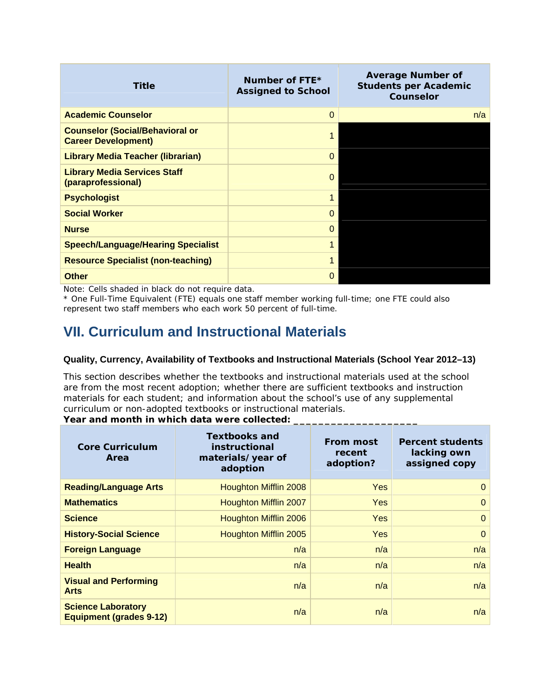| <b>Title</b>                                                         | Number of FTE*<br><b>Assigned to School</b> | <b>Average Number of</b><br><b>Students per Academic</b><br><b>Counselor</b> |
|----------------------------------------------------------------------|---------------------------------------------|------------------------------------------------------------------------------|
| <b>Academic Counselor</b>                                            | $\Omega$                                    | n/a                                                                          |
| <b>Counselor (Social/Behavioral or</b><br><b>Career Development)</b> |                                             |                                                                              |
| <b>Library Media Teacher (librarian)</b>                             | 0                                           |                                                                              |
| <b>Library Media Services Staff</b><br>(paraprofessional)            | 0                                           |                                                                              |
| <b>Psychologist</b>                                                  |                                             |                                                                              |
| <b>Social Worker</b>                                                 | 0                                           |                                                                              |
| <b>Nurse</b>                                                         | 0                                           |                                                                              |
| <b>Speech/Language/Hearing Specialist</b>                            |                                             |                                                                              |
| <b>Resource Specialist (non-teaching)</b>                            |                                             |                                                                              |
| <b>Other</b>                                                         | 0                                           |                                                                              |

Note: Cells shaded in black do not require data.

\* One Full-Time Equivalent (FTE) equals one staff member working full-time; one FTE could also represent two staff members who each work 50 percent of full-time.

# **VII. Curriculum and Instructional Materials**

### **Quality, Currency, Availability of Textbooks and Instructional Materials (School Year 2012–13)**

This section describes whether the textbooks and instructional materials used at the school are from the most recent adoption; whether there are sufficient textbooks and instruction materials for each student; and information about the school's use of any supplemental curriculum or non-adopted textbooks or instructional materials.

### Year and month in which data were collected: \_

| <b>Core Curriculum</b><br>Area                              | <b>Textbooks and</b><br>instructional<br>materials/year of<br>adoption | <b>From most</b><br>recent<br>adoption? | <b>Percent students</b><br>lacking own<br>assigned copy |
|-------------------------------------------------------------|------------------------------------------------------------------------|-----------------------------------------|---------------------------------------------------------|
| <b>Reading/Language Arts</b>                                | Houghton Mifflin 2008                                                  | <b>Yes</b>                              | $\Omega$                                                |
| <b>Mathematics</b>                                          | Houghton Mifflin 2007                                                  | <b>Yes</b>                              | $\Omega$                                                |
| <b>Science</b>                                              | Houghton Mifflin 2006                                                  | <b>Yes</b>                              | $\Omega$                                                |
| <b>History-Social Science</b>                               | Houghton Mifflin 2005                                                  | <b>Yes</b>                              | $\Omega$                                                |
| <b>Foreign Language</b>                                     | n/a                                                                    | n/a                                     | n/a                                                     |
| <b>Health</b>                                               | n/a                                                                    | n/a                                     | n/a                                                     |
| <b>Visual and Performing</b><br><b>Arts</b>                 | n/a                                                                    | n/a                                     | n/a                                                     |
| <b>Science Laboratory</b><br><b>Equipment (grades 9-12)</b> | n/a                                                                    | n/a                                     | n/a                                                     |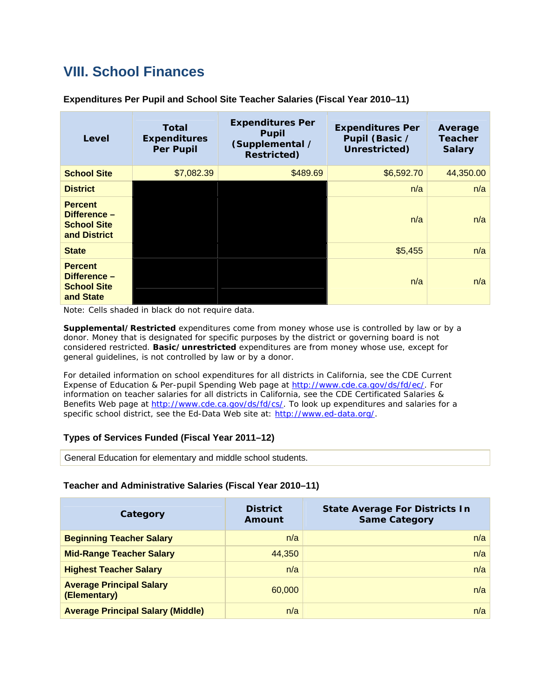# **VIII. School Finances**

| Level                                                                | <b>Total</b><br><b>Expenditures</b><br><b>Per Pupil</b> | <b>Expenditures Per</b><br><b>Pupil</b><br>(Supplemental /<br><b>Restricted)</b> | <b>Expenditures Per</b><br>Pupil (Basic /<br>Unrestricted) | Average<br><b>Teacher</b><br><b>Salary</b> |
|----------------------------------------------------------------------|---------------------------------------------------------|----------------------------------------------------------------------------------|------------------------------------------------------------|--------------------------------------------|
| <b>School Site</b>                                                   | \$7,082.39                                              | \$489.69                                                                         | \$6,592.70                                                 | 44,350.00                                  |
| <b>District</b>                                                      |                                                         |                                                                                  | n/a                                                        | n/a                                        |
| <b>Percent</b><br>Difference -<br><b>School Site</b><br>and District |                                                         |                                                                                  | n/a                                                        | n/a                                        |
| <b>State</b>                                                         |                                                         |                                                                                  | \$5,455                                                    | n/a                                        |
| <b>Percent</b><br>Difference -<br><b>School Site</b><br>and State    |                                                         |                                                                                  | n/a                                                        | n/a                                        |

**Expenditures Per Pupil and School Site Teacher Salaries (Fiscal Year 2010–11)** 

Note: Cells shaded in black do not require data.

*Supplemental/Restricted* expenditures come from money whose use is controlled by law or by a donor. Money that is designated for specific purposes by the district or governing board is not considered restricted. *Basic/unrestricted* expenditures are from money whose use, except for general guidelines, is not controlled by law or by a donor.

For detailed information on school expenditures for all districts in California, see the *CDE Current Expense of Education & Per-pupil Spending* Web page at http://www.cde.ca.gov/ds/fd/ec/. For information on teacher salaries for all districts in California, see the CDE *Certificated Salaries & Benefits* Web page at http://www.cde.ca.gov/ds/fd/cs/. To look up expenditures and salaries for a specific school district, see the Ed-Data Web site at: http://www.ed-data.org/.

### **Types of Services Funded (Fiscal Year 2011–12)**

General Education for elementary and middle school students.

### **Teacher and Administrative Salaries (Fiscal Year 2010–11)**

| Category                                        | <b>District</b><br>Amount | <b>State Average For Districts In</b><br><b>Same Category</b> |
|-------------------------------------------------|---------------------------|---------------------------------------------------------------|
| <b>Beginning Teacher Salary</b>                 | n/a                       | n/a                                                           |
| <b>Mid-Range Teacher Salary</b>                 | 44,350                    | n/a                                                           |
| <b>Highest Teacher Salary</b>                   | n/a                       | n/a                                                           |
| <b>Average Principal Salary</b><br>(Elementary) | 60,000                    | n/a                                                           |
| <b>Average Principal Salary (Middle)</b>        | n/a                       | n/a                                                           |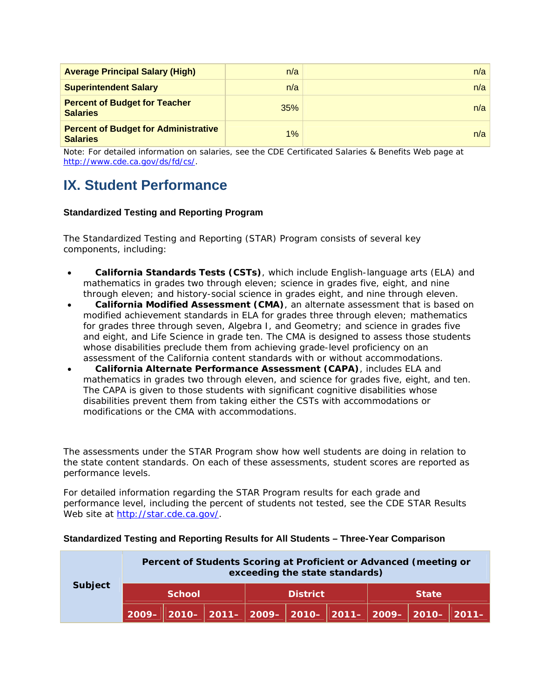| <b>Average Principal Salary (High)</b>                         | n/a   | n/a |
|----------------------------------------------------------------|-------|-----|
| <b>Superintendent Salary</b>                                   | n/a   | n/a |
| <b>Percent of Budget for Teacher</b><br><b>Salaries</b>        | 35%   | n/a |
| <b>Percent of Budget for Administrative</b><br><b>Salaries</b> | $1\%$ | n/a |

Note: For detailed information on salaries, see the CDE Certificated Salaries & Benefits Web page at http://www.cde.ca.gov/ds/fd/cs/.

# **IX. Student Performance**

### **Standardized Testing and Reporting Program**

The Standardized Testing and Reporting (STAR) Program consists of several key components, including:

- **California Standards Tests (CSTs)**, which include English-language arts (ELA) and mathematics in grades two through eleven; science in grades five, eight, and nine through eleven; and history-social science in grades eight, and nine through eleven.
- **California Modified Assessment (CMA)**, an alternate assessment that is based on modified achievement standards in ELA for grades three through eleven; mathematics for grades three through seven, Algebra I, and Geometry; and science in grades five and eight, and Life Science in grade ten. The CMA is designed to assess those students whose disabilities preclude them from achieving grade-level proficiency on an assessment of the California content standards with or without accommodations.
- **California Alternate Performance Assessment (CAPA)**, includes ELA and mathematics in grades two through eleven, and science for grades five, eight, and ten. The CAPA is given to those students with significant cognitive disabilities whose disabilities prevent them from taking either the CSTs with accommodations or modifications or the CMA with accommodations.

The assessments under the STAR Program show how well students are doing in relation to the state content standards. On each of these assessments, student scores are reported as performance levels.

For detailed information regarding the STAR Program results for each grade and performance level, including the percent of students not tested, see the CDE STAR Results Web site at http://star.cde.ca.gov/.

|         |               |                 |  | exceeding the state standards) |              | Percent of Students Scoring at Proficient or Advanced (meeting or |                                                                       |
|---------|---------------|-----------------|--|--------------------------------|--------------|-------------------------------------------------------------------|-----------------------------------------------------------------------|
| Subject | <b>School</b> | <b>District</b> |  |                                | <b>State</b> |                                                                   |                                                                       |
|         |               |                 |  |                                |              |                                                                   | 2009–   2010–   2011–   2009–   2010–   2011–   2009–   2010–   2011– |

### **Standardized Testing and Reporting Results for All Students – Three-Year Comparison**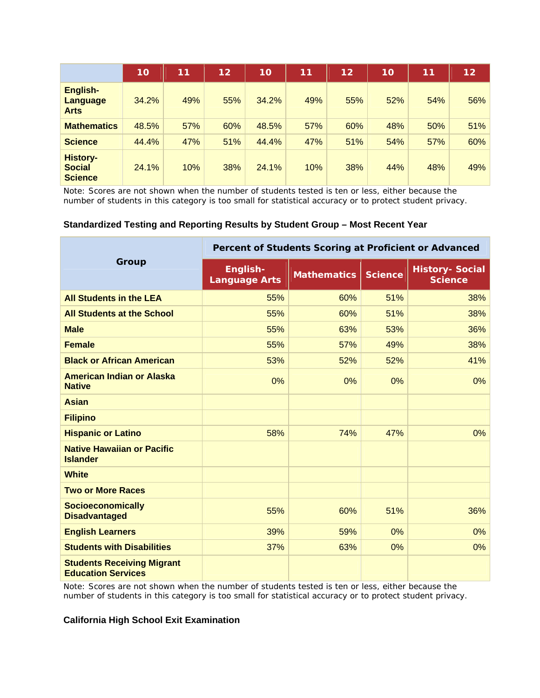|                                                    | 10    | 11  | 12  | 10    | 11  | 12  | 10  | 11  | 12 <sub>2</sub> |
|----------------------------------------------------|-------|-----|-----|-------|-----|-----|-----|-----|-----------------|
| English-<br><b>Language</b><br><b>Arts</b>         | 34.2% | 49% | 55% | 34.2% | 49% | 55% | 52% | 54% | 56%             |
| <b>Mathematics</b>                                 | 48.5% | 57% | 60% | 48.5% | 57% | 60% | 48% | 50% | 51%             |
| <b>Science</b>                                     | 44.4% | 47% | 51% | 44.4% | 47% | 51% | 54% | 57% | 60%             |
| <b>History-</b><br><b>Social</b><br><b>Science</b> | 24.1% | 10% | 38% | 24.1% | 10% | 38% | 44% | 48% | 49%             |

Note: Scores are not shown when the number of students tested is ten or less, either because the number of students in this category is too small for statistical accuracy or to protect student privacy.

#### **Standardized Testing and Reporting Results by Student Group – Most Recent Year**

|                                                                | Percent of Students Scoring at Proficient or Advanced |                    |                |                                          |  |  |  |
|----------------------------------------------------------------|-------------------------------------------------------|--------------------|----------------|------------------------------------------|--|--|--|
| Group                                                          | English-<br><b>Language Arts</b>                      | <b>Mathematics</b> | <b>Science</b> | <b>History- Social</b><br><b>Science</b> |  |  |  |
| <b>All Students in the LEA</b>                                 | 55%                                                   | 60%                | 51%            | 38%                                      |  |  |  |
| <b>All Students at the School</b>                              | 55%                                                   | 60%                | 51%            | 38%                                      |  |  |  |
| <b>Male</b>                                                    | 55%                                                   | 63%                | 53%            | 36%                                      |  |  |  |
| <b>Female</b>                                                  | 55%                                                   | 57%                | 49%            | 38%                                      |  |  |  |
| <b>Black or African American</b>                               | 53%                                                   | 52%                | 52%            | 41%                                      |  |  |  |
| <b>American Indian or Alaska</b><br><b>Native</b>              | 0%                                                    | 0%                 | 0%             | 0%                                       |  |  |  |
| <b>Asian</b>                                                   |                                                       |                    |                |                                          |  |  |  |
| <b>Filipino</b>                                                |                                                       |                    |                |                                          |  |  |  |
| <b>Hispanic or Latino</b>                                      | 58%                                                   | 74%                | 47%            | 0%                                       |  |  |  |
| <b>Native Hawaiian or Pacific</b><br><b>Islander</b>           |                                                       |                    |                |                                          |  |  |  |
| <b>White</b>                                                   |                                                       |                    |                |                                          |  |  |  |
| <b>Two or More Races</b>                                       |                                                       |                    |                |                                          |  |  |  |
| <b>Socioeconomically</b><br><b>Disadvantaged</b>               | 55%                                                   | 60%                | 51%            | 36%                                      |  |  |  |
| <b>English Learners</b>                                        | 39%                                                   | 59%                | 0%             | 0%                                       |  |  |  |
| <b>Students with Disabilities</b>                              | 37%                                                   | 63%                | 0%             | 0%                                       |  |  |  |
| <b>Students Receiving Migrant</b><br><b>Education Services</b> |                                                       |                    |                |                                          |  |  |  |

Note: Scores are not shown when the number of students tested is ten or less, either because the number of students in this category is too small for statistical accuracy or to protect student privacy.

#### **California High School Exit Examination**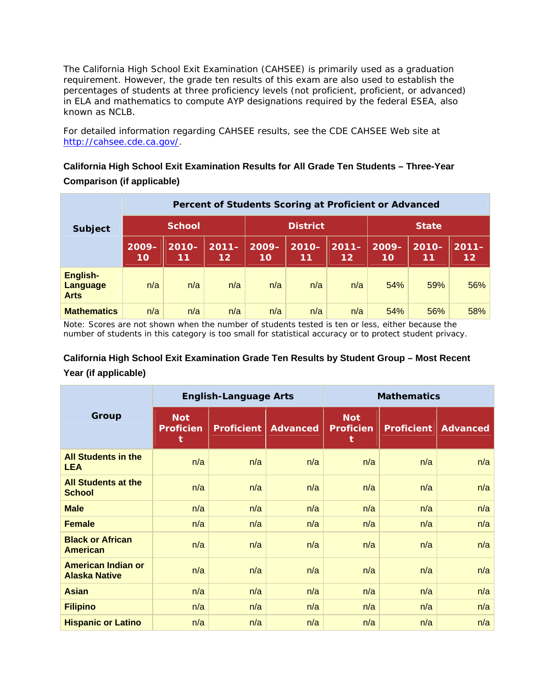The California High School Exit Examination (CAHSEE) is primarily used as a graduation requirement. However, the grade ten results of this exam are also used to establish the percentages of students at three proficiency levels (not proficient, proficient, or advanced) in ELA and mathematics to compute AYP designations required by the federal ESEA, also known as NCLB.

For detailed information regarding CAHSEE results, see the CDE CAHSEE Web site at http://cahsee.cde.ca.gov/.

### **California High School Exit Examination Results for All Grade Ten Students – Three-Year Comparison (if applicable)**

|                                            |                | Percent of Students Scoring at Proficient or Advanced |                             |                 |                |                     |                |                |                               |  |  |  |
|--------------------------------------------|----------------|-------------------------------------------------------|-----------------------------|-----------------|----------------|---------------------|----------------|----------------|-------------------------------|--|--|--|
| <b>Subject</b>                             | <b>School</b>  |                                                       |                             | <b>District</b> |                |                     | <b>State</b>   |                |                               |  |  |  |
|                                            | $2009 -$<br>10 | $2010 -$<br>11                                        | $2011 -$<br>12 <sub>1</sub> | $2009 -$<br>10  | $2010 -$<br>11 | $2011 -$<br>$12 \,$ | $2009 -$<br>10 | $2010 -$<br>11 | $2011 -$<br>$12 \overline{ }$ |  |  |  |
| English-<br><b>Language</b><br><b>Arts</b> | n/a            | n/a                                                   | n/a                         | n/a             | n/a            | n/a                 | 54%            | 59%            | 56%                           |  |  |  |
| <b>Mathematics</b>                         | n/a            | n/a                                                   | n/a                         | n/a             | n/a            | n/a                 | 54%            | 56%            | 58%                           |  |  |  |

Note: Scores are not shown when the number of students tested is ten or less, either because the number of students in this category is too small for statistical accuracy or to protect student privacy.

### **California High School Exit Examination Grade Ten Results by Student Group – Most Recent Year (if applicable)**

|                                                   |                                     | <b>English-Language Arts</b> |                 | <b>Mathematics</b>                  |                   |                 |  |
|---------------------------------------------------|-------------------------------------|------------------------------|-----------------|-------------------------------------|-------------------|-----------------|--|
| Group                                             | <b>Not</b><br><b>Proficien</b><br>t | <b>Proficient</b>            | <b>Advanced</b> | <b>Not</b><br><b>Proficien</b><br>t | <b>Proficient</b> | <b>Advanced</b> |  |
| <b>All Students in the</b><br><b>LEA</b>          | n/a                                 | n/a                          | n/a             | n/a                                 | n/a               | n/a             |  |
| <b>All Students at the</b><br><b>School</b>       | n/a                                 | n/a                          | n/a             | n/a                                 | n/a               | n/a             |  |
| <b>Male</b>                                       | n/a                                 | n/a                          | n/a             | n/a                                 | n/a               | n/a             |  |
| <b>Female</b>                                     | n/a                                 | n/a                          | n/a             | n/a                                 | n/a               | n/a             |  |
| <b>Black or African</b><br><b>American</b>        | n/a                                 | n/a                          | n/a             | n/a                                 | n/a               | n/a             |  |
| <b>American Indian or</b><br><b>Alaska Native</b> | n/a                                 | n/a                          | n/a             | n/a                                 | n/a               | n/a             |  |
| <b>Asian</b>                                      | n/a                                 | n/a                          | n/a             | n/a                                 | n/a               | n/a             |  |
| <b>Filipino</b>                                   | n/a                                 | n/a                          | n/a             | n/a                                 | n/a               | n/a             |  |
| <b>Hispanic or Latino</b>                         | n/a                                 | n/a                          | n/a             | n/a                                 | n/a               | n/a             |  |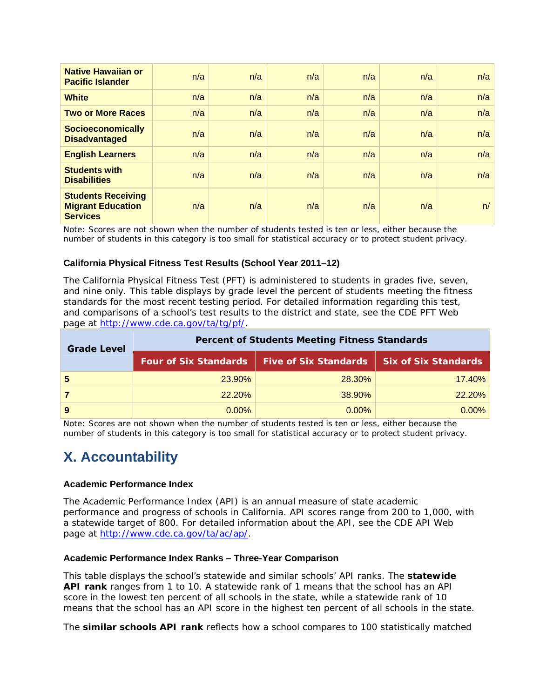| <b>Native Hawaiian or</b><br><b>Pacific Islander</b>                     | n/a | n/a | n/a | n/a | n/a | n/a |
|--------------------------------------------------------------------------|-----|-----|-----|-----|-----|-----|
| <b>White</b>                                                             | n/a | n/a | n/a | n/a | n/a | n/a |
| <b>Two or More Races</b>                                                 | n/a | n/a | n/a | n/a | n/a | n/a |
| <b>Socioeconomically</b><br><b>Disadvantaged</b>                         | n/a | n/a | n/a | n/a | n/a | n/a |
| <b>English Learners</b>                                                  | n/a | n/a | n/a | n/a | n/a | n/a |
| <b>Students with</b><br><b>Disabilities</b>                              | n/a | n/a | n/a | n/a | n/a | n/a |
| <b>Students Receiving</b><br><b>Migrant Education</b><br><b>Services</b> | n/a | n/a | n/a | n/a | n/a | n/  |

Note: Scores are not shown when the number of students tested is ten or less, either because the number of students in this category is too small for statistical accuracy or to protect student privacy.

### **California Physical Fitness Test Results (School Year 2011–12)**

The California Physical Fitness Test (PFT) is administered to students in grades five, seven, and nine only. This table displays by grade level the percent of students meeting the fitness standards for the most recent testing period. For detailed information regarding this test, and comparisons of a school's test results to the district and state, see the CDE *PFT* Web page at http://www.cde.ca.gov/ta/tg/pf/.

| <b>Grade Level</b> | <b>Percent of Students Meeting Fitness Standards</b> |                                                                      |          |  |  |  |  |  |
|--------------------|------------------------------------------------------|----------------------------------------------------------------------|----------|--|--|--|--|--|
|                    |                                                      | Four of Six Standards   Five of Six Standards   Six of Six Standards |          |  |  |  |  |  |
| -5                 | 23.90%                                               | 28.30%                                                               | 17.40%   |  |  |  |  |  |
|                    | 22.20%                                               | 38.90%                                                               | 22.20%   |  |  |  |  |  |
| 9                  | $0.00\%$                                             | $0.00\%$                                                             | $0.00\%$ |  |  |  |  |  |

Note: Scores are not shown when the number of students tested is ten or less, either because the number of students in this category is too small for statistical accuracy or to protect student privacy.

## **X. Accountability**

### **Academic Performance Index**

The Academic Performance Index (API) is an annual measure of state academic performance and progress of schools in California. API scores range from 200 to 1,000, with a statewide target of 800. For detailed information about the API, see the CDE *API Web page at* http://www.cde.ca.gov/ta/ac/ap/.

### **Academic Performance Index Ranks – Three-Year Comparison**

This table displays the school's statewide and similar schools' API ranks. The *statewide API rank* ranges from 1 to 10. A statewide rank of 1 means that the school has an API score in the lowest ten percent of all schools in the state, while a statewide rank of 10 means that the school has an API score in the highest ten percent of all schools in the state.

The *similar schools API rank* reflects how a school compares to 100 statistically matched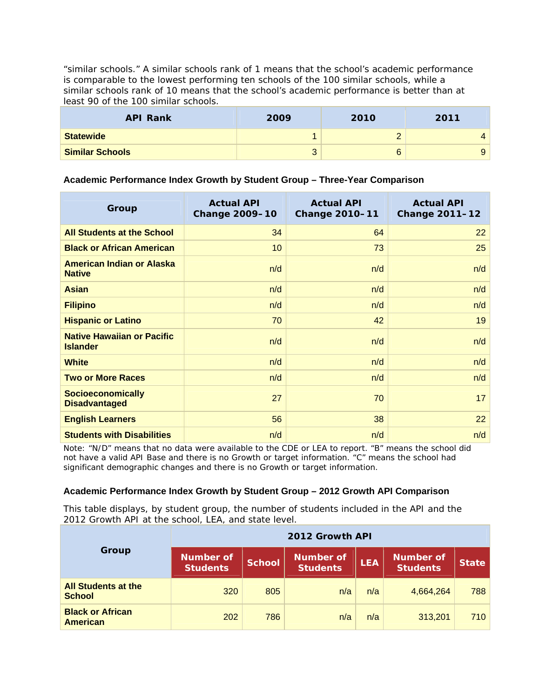"similar schools." A similar schools rank of 1 means that the school's academic performance is comparable to the lowest performing ten schools of the 100 similar schools, while a similar schools rank of 10 means that the school's academic performance is better than at least 90 of the 100 similar schools.

| <b>API Rank</b>        | 2009            | 2010 | 2011 |
|------------------------|-----------------|------|------|
| <b>Statewide</b>       |                 |      |      |
| <b>Similar Schools</b> | $\sqrt{2}$<br>ບ |      | 9    |

### **Academic Performance Index Growth by Student Group – Three-Year Comparison**

| Group                                                | <b>Actual API</b><br><b>Change 2009-10</b> | <b>Actual API</b><br><b>Change 2010-11</b> | <b>Actual API</b><br><b>Change 2011-12</b> |
|------------------------------------------------------|--------------------------------------------|--------------------------------------------|--------------------------------------------|
| <b>All Students at the School</b>                    | 34                                         | 64                                         | 22                                         |
| <b>Black or African American</b>                     | 10                                         | 73                                         | 25                                         |
| <b>American Indian or Alaska</b><br><b>Native</b>    | n/d                                        | n/d                                        | n/d                                        |
| <b>Asian</b>                                         | n/d                                        | n/d                                        | n/d                                        |
| <b>Filipino</b>                                      | n/d                                        | n/d                                        | n/d                                        |
| <b>Hispanic or Latino</b>                            | 70                                         | 42                                         | 19                                         |
| <b>Native Hawaiian or Pacific</b><br><b>Islander</b> | n/d                                        | n/d                                        | n/d                                        |
| <b>White</b>                                         | n/d                                        | n/d                                        | n/d                                        |
| <b>Two or More Races</b>                             | n/d                                        | n/d                                        | n/d                                        |
| <b>Socioeconomically</b><br><b>Disadvantaged</b>     | 27                                         | 70                                         | 17                                         |
| <b>English Learners</b>                              | 56                                         | 38                                         | 22                                         |
| <b>Students with Disabilities</b>                    | n/d                                        | n/d                                        | n/d                                        |

Note: "N/D" means that no data were available to the CDE or LEA to report. "B" means the school did not have a valid API Base and there is no Growth or target information. "C" means the school had significant demographic changes and there is no Growth or target information.

### **Academic Performance Index Growth by Student Group – 2012 Growth API Comparison**

This table displays, by student group, the number of students included in the API and the 2012 Growth API at the school, LEA, and state level.

| Group                                       |                                     | 2012 Growth API |                                     |            |                                     |              |  |  |  |  |
|---------------------------------------------|-------------------------------------|-----------------|-------------------------------------|------------|-------------------------------------|--------------|--|--|--|--|
|                                             | <b>Number of</b><br><b>Students</b> | <b>School</b>   | <b>Number of</b><br><b>Students</b> | <b>LEA</b> | <b>Number of</b><br><b>Students</b> | <b>State</b> |  |  |  |  |
| <b>All Students at the</b><br><b>School</b> | 320                                 | 805             | n/a                                 | n/a        | 4,664,264                           | 788          |  |  |  |  |
| <b>Black or African</b><br><b>American</b>  | 202                                 | 786             | n/a                                 | n/a        | 313,201                             | 710          |  |  |  |  |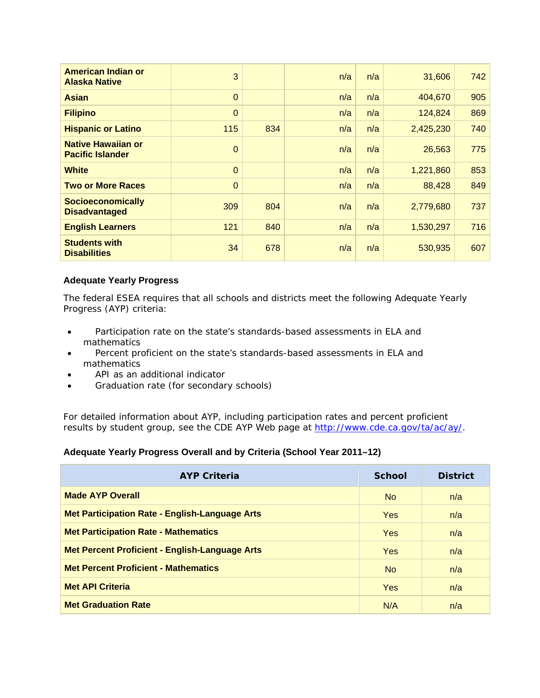| American Indian or<br><b>Alaska Native</b>           | 3              |     | n/a | n/a | 31,606    | 742 |
|------------------------------------------------------|----------------|-----|-----|-----|-----------|-----|
| <b>Asian</b>                                         | $\mathbf 0$    |     | n/a | n/a | 404,670   | 905 |
| <b>Filipino</b>                                      | $\mathbf 0$    |     | n/a | n/a | 124,824   | 869 |
| <b>Hispanic or Latino</b>                            | 115            | 834 | n/a | n/a | 2,425,230 | 740 |
| <b>Native Hawaiian or</b><br><b>Pacific Islander</b> | $\overline{0}$ |     | n/a | n/a | 26,563    | 775 |
| <b>White</b>                                         | $\overline{0}$ |     | n/a | n/a | 1,221,860 | 853 |
| <b>Two or More Races</b>                             | $\Omega$       |     | n/a | n/a | 88,428    | 849 |
| <b>Socioeconomically</b><br><b>Disadvantaged</b>     | 309            | 804 | n/a | n/a | 2,779,680 | 737 |
| <b>English Learners</b>                              | 121            | 840 | n/a | n/a | 1,530,297 | 716 |
| <b>Students with</b><br><b>Disabilities</b>          | 34             | 678 | n/a | n/a | 530,935   | 607 |

### **Adequate Yearly Progress**

The federal ESEA requires that all schools and districts meet the following Adequate Yearly Progress (AYP) criteria:

- Participation rate on the state's standards-based assessments in ELA and mathematics
- Percent proficient on the state's standards-based assessments in ELA and mathematics
- API as an additional indicator
- Graduation rate (for secondary schools)

For detailed information about AYP, including participation rates and percent proficient results by student group, see the CDE *AYP Web page at* http://www.cde.ca.gov/ta/ac/ay/.

### **Adequate Yearly Progress Overall and by Criteria (School Year 2011–12)**

| <b>AYP Criteria</b>                                   | <b>School</b> | <b>District</b> |
|-------------------------------------------------------|---------------|-----------------|
| <b>Made AYP Overall</b>                               | No.           | n/a             |
| <b>Met Participation Rate - English-Language Arts</b> | <b>Yes</b>    | n/a             |
| <b>Met Participation Rate - Mathematics</b>           | <b>Yes</b>    | n/a             |
| <b>Met Percent Proficient - English-Language Arts</b> | <b>Yes</b>    | n/a             |
| <b>Met Percent Proficient - Mathematics</b>           | <b>No</b>     | n/a             |
| <b>Met API Criteria</b>                               | <b>Yes</b>    | n/a             |
| <b>Met Graduation Rate</b>                            | N/A           | n/a             |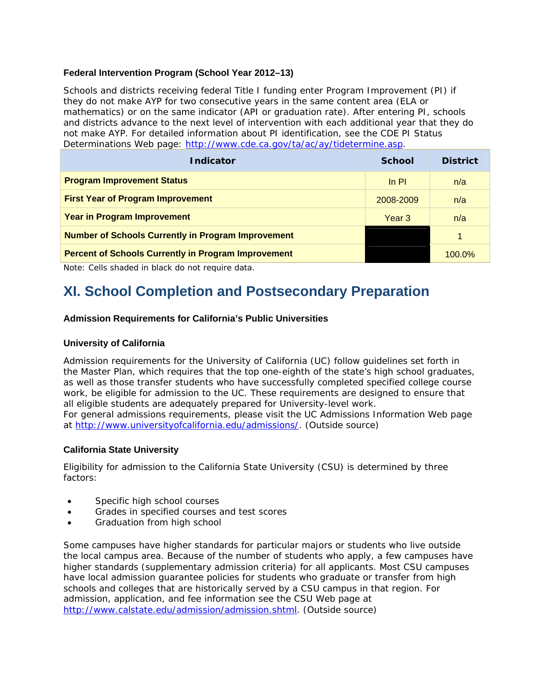### **Federal Intervention Program (School Year 2012–13)**

Schools and districts receiving federal Title I funding enter Program Improvement (PI) if they do not make AYP for two consecutive years in the same content area (ELA or mathematics) or on the same indicator (API or graduation rate). After entering PI, schools and districts advance to the next level of intervention with each additional year that they do not make AYP. For detailed information about PI identification, see the CDE *PI Status Determinations Web* page: http://www.cde.ca.gov/ta/ac/ay/tidetermine.asp.

| <b>Indicator</b>                                           | <b>School</b>     | <b>District</b> |
|------------------------------------------------------------|-------------------|-----------------|
| <b>Program Improvement Status</b>                          | $\ln$ PI          | n/a             |
| <b>First Year of Program Improvement</b>                   | 2008-2009         | n/a             |
| <b>Year in Program Improvement</b>                         | Year <sub>3</sub> | n/a             |
| <b>Number of Schools Currently in Program Improvement</b>  |                   | $\mathbf{1}$    |
| <b>Percent of Schools Currently in Program Improvement</b> |                   | $100.0\%$       |

Note: Cells shaded in black do not require data.

# **XI. School Completion and Postsecondary Preparation**

### **Admission Requirements for California's Public Universities**

### **University of California**

Admission requirements for the University of California (UC) follow guidelines set forth in the Master Plan, which requires that the top one-eighth of the state's high school graduates, as well as those transfer students who have successfully completed specified college course work, be eligible for admission to the UC. These requirements are designed to ensure that all eligible students are adequately prepared for University-level work. For general admissions requirements, please visit the *UC Admissions Information* Web page at http://www.universityofcalifornia.edu/admissions/. (Outside source)

### **California State University**

Eligibility for admission to the California State University (CSU) is determined by three factors:

- Specific high school courses
- Grades in specified courses and test scores
- Graduation from high school

Some campuses have higher standards for particular majors or students who live outside the local campus area. Because of the number of students who apply, a few campuses have higher standards (supplementary admission criteria) for all applicants. Most CSU campuses have local admission guarantee policies for students who graduate or transfer from high schools and colleges that are historically served by a CSU campus in that region. For admission, application, and fee information see the *CSU Web page at*  http://www.calstate.edu/admission/admission.shtml. (Outside source)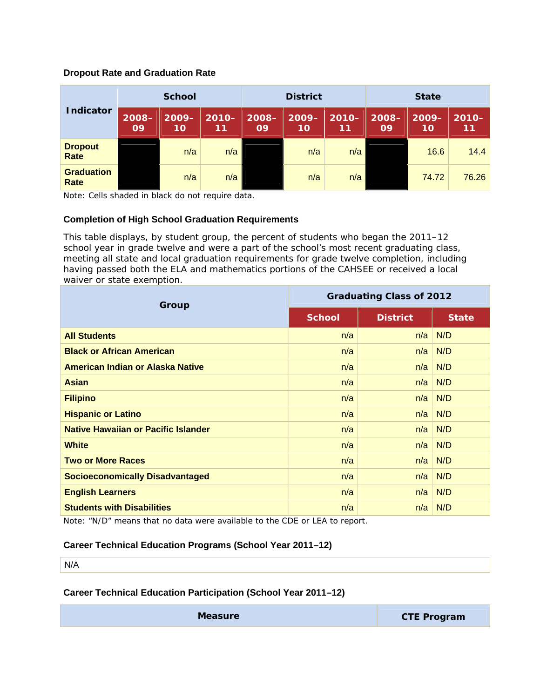### **Dropout Rate and Graduation Rate**

|                           | <b>School</b>  |                | <b>District</b> |                |                | <b>State</b>   |                |                |                |
|---------------------------|----------------|----------------|-----------------|----------------|----------------|----------------|----------------|----------------|----------------|
| <b>Indicator</b>          | $2008 -$<br>09 | $2009 -$<br>10 | $2010 -$<br>11  | $2008 -$<br>09 | $2009 -$<br>10 | $2010 -$<br>11 | $2008 -$<br>09 | $2009 -$<br>10 | $2010 -$<br>11 |
| <b>Dropout</b><br>Rate    |                | n/a            | n/a             |                | n/a            | n/a            |                | 16.6           | 14.4           |
| <b>Graduation</b><br>Rate |                | n/a            | n/a             |                | n/a            | n/a            |                | 74.72          | 76.26          |

Note: Cells shaded in black do not require data.

### **Completion of High School Graduation Requirements**

This table displays, by student group, the percent of students who began the 2011–12 school year in grade twelve and were a part of the school's most recent graduating class, meeting all state and local graduation requirements for grade twelve completion, including having passed both the ELA and mathematics portions of the CAHSEE or received a local waiver or state exemption.

| Group                                      | <b>Graduating Class of 2012</b> |                 |              |  |
|--------------------------------------------|---------------------------------|-----------------|--------------|--|
|                                            | <b>School</b>                   | <b>District</b> | <b>State</b> |  |
| <b>All Students</b>                        | n/a                             | n/a             | N/D          |  |
| <b>Black or African American</b>           | n/a                             | n/a             | N/D          |  |
| American Indian or Alaska Native           | n/a                             | n/a             | N/D          |  |
| <b>Asian</b>                               | n/a                             | n/a             | N/D          |  |
| <b>Filipino</b>                            | n/a                             | n/a             | N/D          |  |
| <b>Hispanic or Latino</b>                  | n/a                             | n/a             | N/D          |  |
| <b>Native Hawaiian or Pacific Islander</b> | n/a                             | n/a             | N/D          |  |
| <b>White</b>                               | n/a                             | n/a             | N/D          |  |
| <b>Two or More Races</b>                   | n/a                             | n/a             | N/D          |  |
| <b>Socioeconomically Disadvantaged</b>     | n/a                             | n/a             | N/D          |  |
| <b>English Learners</b>                    | n/a                             | n/a             | N/D          |  |
| <b>Students with Disabilities</b>          | n/a                             | n/a             | N/D          |  |

Note: "N/D" means that no data were available to the CDE or LEA to report.

### **Career Technical Education Programs (School Year 2011–12)**

N/A

### **Career Technical Education Participation (School Year 2011–12)**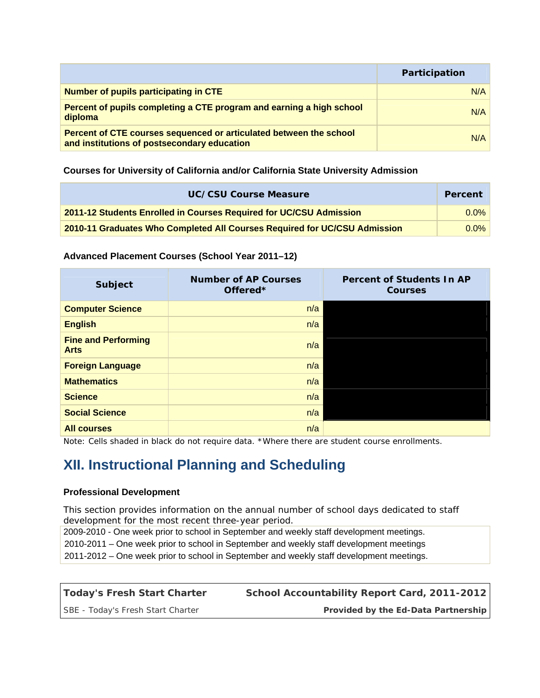|                                                                                                                   | Participation |
|-------------------------------------------------------------------------------------------------------------------|---------------|
| <b>Number of pupils participating in CTE</b>                                                                      | N/A           |
| Percent of pupils completing a CTE program and earning a high school<br>diploma                                   | N/A           |
| Percent of CTE courses sequenced or articulated between the school<br>and institutions of postsecondary education | N/A           |

### **Courses for University of California and/or California State University Admission**

| UC/CSU Course Measure                                                     | Percent |
|---------------------------------------------------------------------------|---------|
| 2011-12 Students Enrolled in Courses Required for UC/CSU Admission        |         |
| 2010-11 Graduates Who Completed All Courses Required for UC/CSU Admission |         |

### **Advanced Placement Courses (School Year 2011–12)**

| <b>Subject</b>                            | <b>Number of AP Courses</b><br>Offered <sup>*</sup> | <b>Percent of Students In AP</b><br><b>Courses</b> |
|-------------------------------------------|-----------------------------------------------------|----------------------------------------------------|
| <b>Computer Science</b>                   | n/a                                                 |                                                    |
| <b>English</b>                            | n/a                                                 |                                                    |
| <b>Fine and Performing</b><br><b>Arts</b> | n/a                                                 |                                                    |
| <b>Foreign Language</b>                   | n/a                                                 |                                                    |
| <b>Mathematics</b>                        | n/a                                                 |                                                    |
| <b>Science</b>                            | n/a                                                 |                                                    |
| <b>Social Science</b>                     | n/a                                                 |                                                    |
| <b>All courses</b>                        | n/a                                                 |                                                    |

Note: Cells shaded in black do not require data. \*Where there are student course enrollments.

# **XII. Instructional Planning and Scheduling**

### **Professional Development**

This section provides information on the annual number of school days dedicated to staff development for the most recent three-year period.

2009-2010 - One week prior to school in September and weekly staff development meetings. 2010-2011 – One week prior to school in September and weekly staff development meetings

2011-2012 – One week prior to school in September and weekly staff development meetings.

| Today's Fresh Start Charter       | School Accountability Report Card, 2011-2012 |
|-----------------------------------|----------------------------------------------|
| SBE - Today's Fresh Start Charter | Provided by the Ed-Data Partnership          |